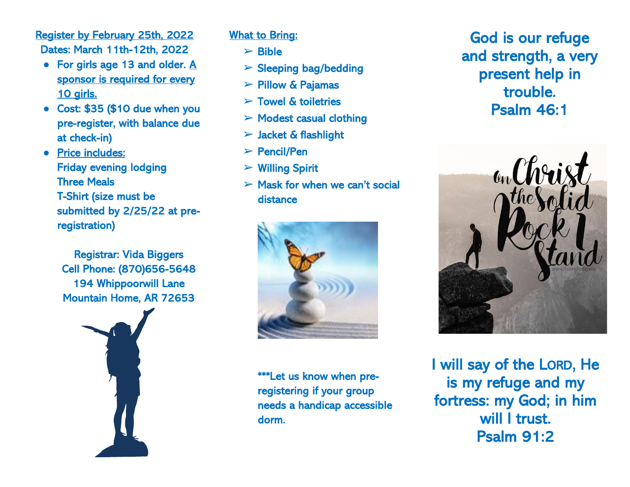Register by February 25th, 2022 Dates: March 11th-12th, 2022

- For girls age 13 and older. A sponsor is required for every 10 girls.
- Cost: \$35 (\$10 due when you pre-register, with balance due at check-in)
- Price includes: Friday evening lodging Three Meals T-Shirt (size must be submitted by 2/25/22 at preregistration)

Registrar: Vida Biggers Cell Phone: (870)656-5648 194 Whippoorwill Lane Mountain Home, AR 72653



## What to Bring:

- $\triangleright$  Bible
- $\triangleright$  Sleeping bag/bedding
- $\triangleright$  Pillow & Pajamas
- $\triangleright$  Towel & toiletries
- $\triangleright$  Modest casual clothing
- $>$  Jacket & flashlight
- ➢ Pencil/Pen
- $\triangleright$  Willing Spirit
- $\triangleright$  Mask for when we can't social distance



\*\*\*Let us know when preregistering if your group needs a handicap accessible dorm.

God is our refuge and strength, a very present help in trouble. Psalm 46:1



I will say of the LORD, He is my refuge and my fortress: my God; in him will I trust. Psalm 91:2